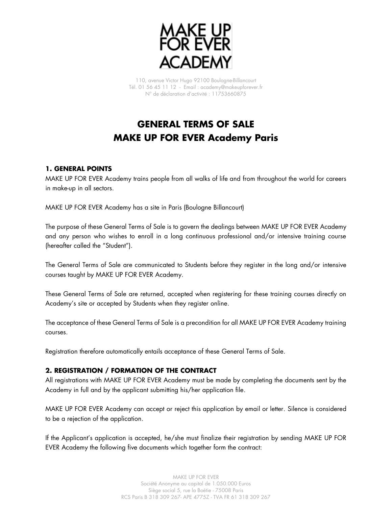

110, avenue Victor Hugo 92100 Boulogne-Billancourt Tél. 01 56 45 11 12 - Email : academy@makeupforever.fr N° de déclaration d'activité : 11753660875

# **GENERAL TERMS OF SALE MAKE UP FOR EVER Academy Paris**

## **1. GENERAL POINTS**

MAKE UP FOR EVER Academy trains people from all walks of life and from throughout the world for careers in make-up in all sectors.

MAKE UP FOR EVER Academy has a site in Paris (Boulogne Billancourt)

The purpose of these General Terms of Sale is to govern the dealings between MAKE UP FOR EVER Academy and any person who wishes to enroll in a long continuous professional and/or intensive training course (hereafter called the "Student").

The General Terms of Sale are communicated to Students before they register in the long and/or intensive courses taught by MAKE UP FOR EVER Academy.

These General Terms of Sale are returned, accepted when registering for these training courses directly on Academy's site or accepted by Students when they register online.

The acceptance of these General Terms of Sale is a precondition for all MAKE UP FOR EVER Academy training courses.

Registration therefore automatically entails acceptance of these General Terms of Sale.

## **2. REGISTRATION / FORMATION OF THE CONTRACT**

All registrations with MAKE UP FOR EVER Academy must be made by completing the documents sent by the Academy in full and by the applicant submitting his/her application file.

MAKE UP FOR EVER Academy can accept or reject this application by email or letter. Silence is considered to be a rejection of the application.

If the Applicant's application is accepted, he/she must finalize their registration by sending MAKE UP FOR EVER Academy the following five documents which together form the contract: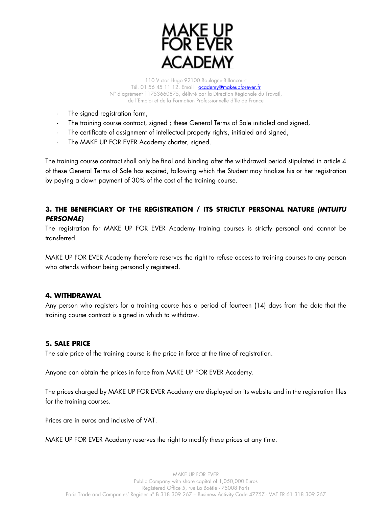

- The signed registration form,
- The training course contract, signed; these General Terms of Sale initialed and signed,
- The certificate of assignment of intellectual property rights, initialed and signed,
- The MAKE UP FOR EVER Academy charter, signed.

The training course contract shall only be final and binding after the withdrawal period stipulated in article 4 of these General Terms of Sale has expired, following which the Student may finalize his or her registration by paying a down payment of 30% of the cost of the training course.

## **3. THE BENEFICIARY OF THE REGISTRATION / ITS STRICTLY PERSONAL NATURE (INTUITU PERSONAE)**

The registration for MAKE UP FOR EVER Academy training courses is strictly personal and cannot be transferred.

MAKE UP FOR EVER Academy therefore reserves the right to refuse access to training courses to any person who attends without being personally registered.

## **4. WITHDRAWAL**

Any person who registers for a training course has a period of fourteen (14) days from the date that the training course contract is signed in which to withdraw.

## **5. SALE PRICE**

The sale price of the training course is the price in force at the time of registration.

Anyone can obtain the prices in force from MAKE UP FOR EVER Academy.

The prices charged by MAKE UP FOR EVER Academy are displayed on its website and in the registration files for the training courses.

Prices are in euros and inclusive of VAT.

MAKE UP FOR EVER Academy reserves the right to modify these prices at any time.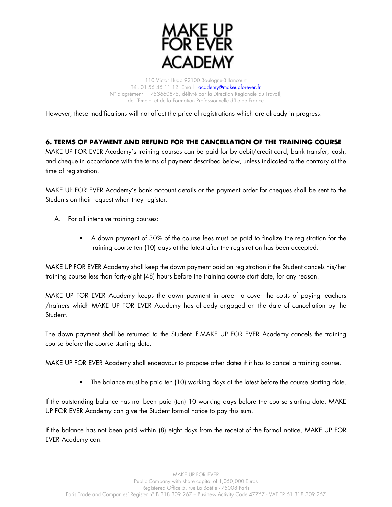

However, these modifications will not affect the price of registrations which are already in progress.

## **6. TERMS OF PAYMENT AND REFUND FOR THE CANCELLATION OF THE TRAINING COURSE**

MAKE UP FOR EVER Academy's training courses can be paid for by debit/credit card, bank transfer, cash, and cheque in accordance with the terms of payment described below, unless indicated to the contrary at the time of registration.

MAKE UP FOR EVER Academy's bank account details or the payment order for cheques shall be sent to the Students on their request when they register.

- A. For all intensive training courses:
	- A down payment of 30% of the course fees must be paid to finalize the registration for the training course ten (10) days at the latest after the registration has been accepted.

MAKE UP FOR EVER Academy shall keep the down payment paid on registration if the Student cancels his/her training course less than forty-eight (48) hours before the training course start date, for any reason.

MAKE UP FOR EVER Academy keeps the down payment in order to cover the costs of paying teachers /trainers which MAKE UP FOR EVER Academy has already engaged on the date of cancellation by the Student.

The down payment shall be returned to the Student if MAKE UP FOR EVER Academy cancels the training course before the course starting date.

MAKE UP FOR EVER Academy shall endeavour to propose other dates if it has to cancel a training course.

▪ The balance must be paid ten (10) working days at the latest before the course starting date.

If the outstanding balance has not been paid (ten) 10 working days before the course starting date, MAKE UP FOR EVER Academy can give the Student formal notice to pay this sum.

If the balance has not been paid within (8) eight days from the receipt of the formal notice, MAKE UP FOR EVER Academy can: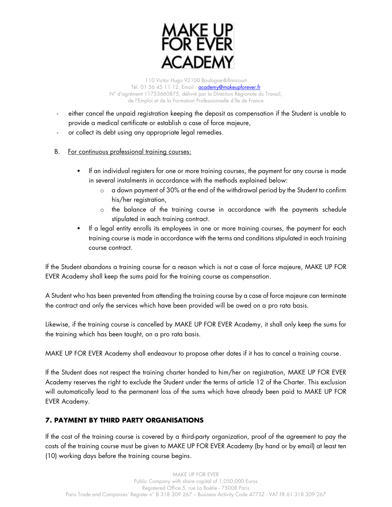

- either cancel the unpaid registration keeping the deposit as compensation if the Student is unable to provide a medical certificate or establish a case of force majeure,
- or collect its debt using any appropriate legal remedies.
- B. For continuous professional training courses:
	- If an individual registers for one or more training courses, the payment for any course is made in several instalments in accordance with the methods explained below:
		- $\circ$  a down payment of 30% at the end of the withdrawal period by the Student to confirm his/her registration,
		- o the balance of the training course in accordance with the payments schedule stipulated in each training contract.
	- If a legal entity enrolls its employees in one or more training courses, the payment for each training course is made in accordance with the terms and conditions stipulated in each training course contract.

If the Student abandons a training course for a reason which is not a case of force majeure, MAKE UP FOR EVER Academy shall keep the sums paid for the training course as compensation.

A Student who has been prevented from attending the training course by a case of force majeure can terminate the contract and only the services which have been provided will be owed on a pro rata basis.

Likewise, if the training course is cancelled by MAKE UP FOR EVER Academy, it shall only keep the sums for the training which has been taught, on a pro rata basis.

MAKE UP FOR EVER Academy shall endeavour to propose other dates if it has to cancel a training course.

If the Student does not respect the training charter handed to him/her on registration, MAKE UP FOR EVER Academy reserves the right to exclude the Student under the terms of article 12 of the Charter. This exclusion will automatically lead to the permanent loss of the sums which have already been paid to MAKE UP FOR EVER Academy.

## **7. PAYMENT BY THIRD PARTY ORGANISATIONS**

If the cost of the training course is covered by a third-party organization, proof of the agreement to pay the costs of the training course must be given to MAKE UP FOR EVER Academy (by hand or by email) at least ten (10) working days before the training course begins.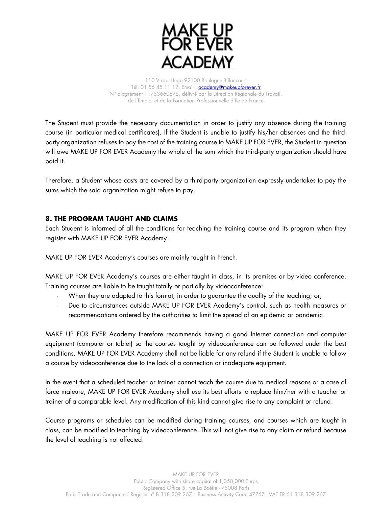

The Student must provide the necessary documentation in order to justify any absence during the training course (in particular medical certificates). If the Student is unable to justify his/her absences and the thirdparty organization refuses to pay the cost of the training course to MAKE UP FOR EVER, the Student in question will owe MAKE UP FOR EVER Academy the whole of the sum which the third-party organization should have paid it.

Therefore, a Student whose costs are covered by a third-party organization expressly undertakes to pay the sums which the said organization might refuse to pay.

## **8. THE PROGRAM TAUGHT AND CLAIMS**

Each Student is informed of all the conditions for teaching the training course and its program when they register with MAKE UP FOR EVER Academy.

MAKE UP FOR EVER Academy's courses are mainly taught in French.

MAKE UP FOR EVER Academy's courses are either taught in class, in its premises or by video conference. Training courses are liable to be taught totally or partially by videoconference:

- When they are adapted to this format, in order to guarantee the quality of the teaching; or,
- Due to circumstances outside MAKE UP FOR EVER Academy's control, such as health measures or recommendations ordered by the authorities to limit the spread of an epidemic or pandemic.

MAKE UP FOR EVER Academy therefore recommends having a good Internet connection and computer equipment (computer or tablet) so the courses taught by videoconference can be followed under the best conditions. MAKE UP FOR EVER Academy shall not be liable for any refund if the Student is unable to follow a course by videoconference due to the lack of a connection or inadequate equipment.

In the event that a scheduled teacher or trainer cannot teach the course due to medical reasons or a case of force majeure, MAKE UP FOR EVER Academy shall use its best efforts to replace him/her with a teacher or trainer of a comparable level. Any modification of this kind cannot give rise to any complaint or refund.

Course programs or schedules can be modified during training courses, and courses which are taught in class, can be modified to teaching by videoconference. This will not give rise to any claim or refund because the level of teaching is not affected.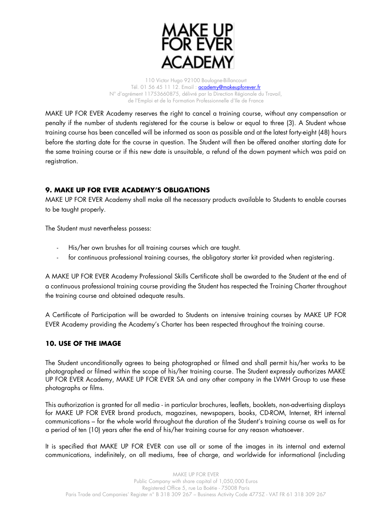

MAKE UP FOR EVER Academy reserves the right to cancel a training course, without any compensation or penalty if the number of students registered for the course is below or equal to three (3). A Student whose training course has been cancelled will be informed as soon as possible and at the latest forty-eight (48) hours before the starting date for the course in question. The Student will then be offered another starting date for the same training course or if this new date is unsuitable, a refund of the down payment which was paid on registration.

## **9. MAKE UP FOR EVER ACADEMY'S OBLIGATIONS**

MAKE UP FOR EVER Academy shall make all the necessary products available to Students to enable courses to be taught properly.

The Student must nevertheless possess:

- His/her own brushes for all training courses which are taught.
- for continuous professional training courses, the obligatory starter kit provided when registering.

A MAKE UP FOR EVER Academy Professional Skills Certificate shall be awarded to the Student at the end of a continuous professional training course providing the Student has respected the Training Charter throughout the training course and obtained adequate results.

A Certificate of Participation will be awarded to Students on intensive training courses by MAKE UP FOR EVER Academy providing the Academy's Charter has been respected throughout the training course.

## **10. USE OF THE IMAGE**

The Student unconditionally agrees to being photographed or filmed and shall permit his/her works to be photographed or filmed within the scope of his/her training course. The Student expressly authorizes MAKE UP FOR EVER Academy, MAKE UP FOR EVER SA and any other company in the LVMH Group to use these photographs or films.

This authorization is granted for all media - in particular brochures, leaflets, booklets, non-advertising displays for MAKE UP FOR EVER brand products, magazines, newspapers, books, CD-ROM, Internet, RH internal communications – for the whole world throughout the duration of the Student's training course as well as for a period of ten (10) years after the end of his/her training course for any reason whatsoever.

It is specified that MAKE UP FOR EVER can use all or some of the images in its internal and external communications, indefinitely, on all mediums, free of charge, and worldwide for informational (including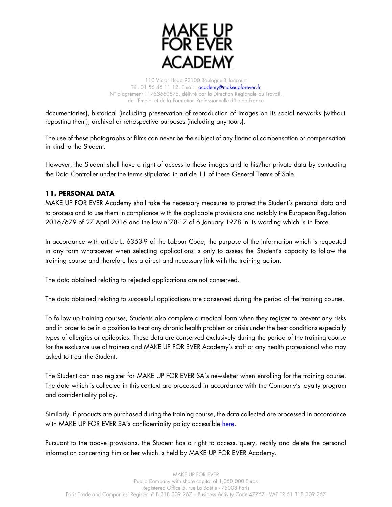

documentaries), historical (including preservation of reproduction of images on its social networks (without reposting them), archival or retrospective purposes (including any tours).

The use of these photographs or films can never be the subject of any financial compensation or compensation in kind to the Student.

However, the Student shall have a right of access to these images and to his/her private data by contacting the Data Controller under the terms stipulated in article 11 of these General Terms of Sale.

## **11. PERSONAL DATA**

MAKE UP FOR EVER Academy shall take the necessary measures to protect the Student's personal data and to process and to use them in compliance with the applicable provisions and notably the European Regulation 2016/679 of 27 April 2016 and the law n°78-17 of 6 January 1978 in its wording which is in force.

In accordance with article L. 6353-9 of the Labour Code, the purpose of the information which is requested in any form whatsoever when selecting applications is only to assess the Student's capacity to follow the training course and therefore has a direct and necessary link with the training action.

The data obtained relating to rejected applications are not conserved.

The data obtained relating to successful applications are conserved during the period of the training course.

To follow up training courses, Students also complete a medical form when they register to prevent any risks and in order to be in a position to treat any chronic health problem or crisis under the best conditions especially types of allergies or epilepsies. These data are conserved exclusively during the period of the training course for the exclusive use of trainers and MAKE UP FOR EVER Academy's staff or any health professional who may asked to treat the Student.

The Student can also register for MAKE UP FOR EVER SA's newsletter when enrolling for the training course. The data which is collected in this context are processed in accordance with the Company's loyalty program and confidentiality policy.

Similarly, if products are purchased during the training course, the data collected are processed in accordance with MAKE UP FOR EVER SA's confidentiality policy accessible [here.](https://www.makeupforever.com/fr/fr/politique-de-confidentialite.html)

Pursuant to the above provisions, the Student has a right to access, query, rectify and delete the personal information concerning him or her which is held by MAKE UP FOR EVER Academy.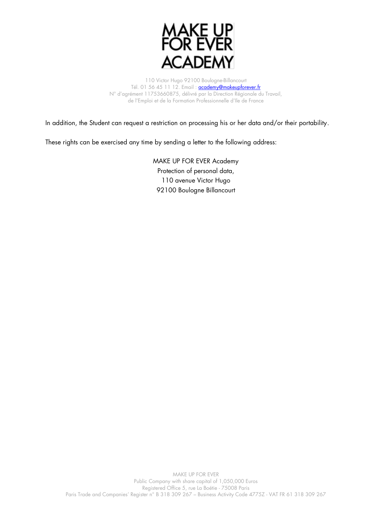

In addition, the Student can request a restriction on processing his or her data and/or their portability.

These rights can be exercised any time by sending a letter to the following address:

MAKE UP FOR EVER Academy Protection of personal data, 110 avenue Victor Hugo 92100 Boulogne Billancourt